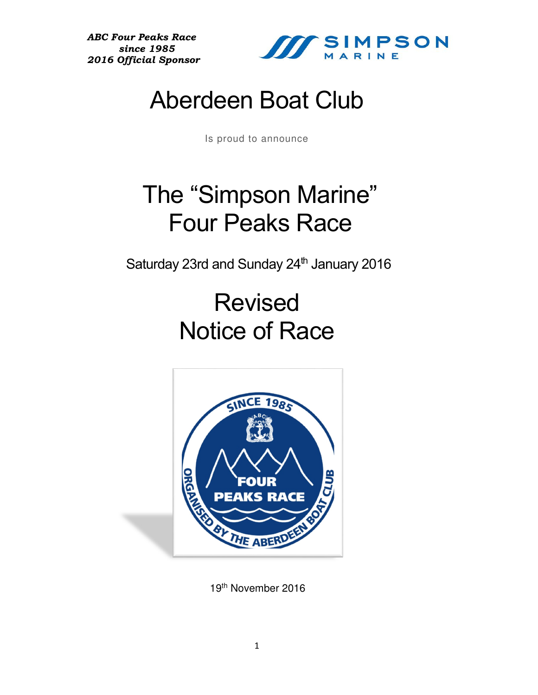*ABC Four Peaks Race since 1985 2016 Official Sponsor*



## Aberdeen Boat Club

Is proud to announce

## The "Simpson Marine" Four Peaks Race

Saturday 23rd and Sunday 24<sup>th</sup> January 2016

# Revised Notice of Race



19th November 2016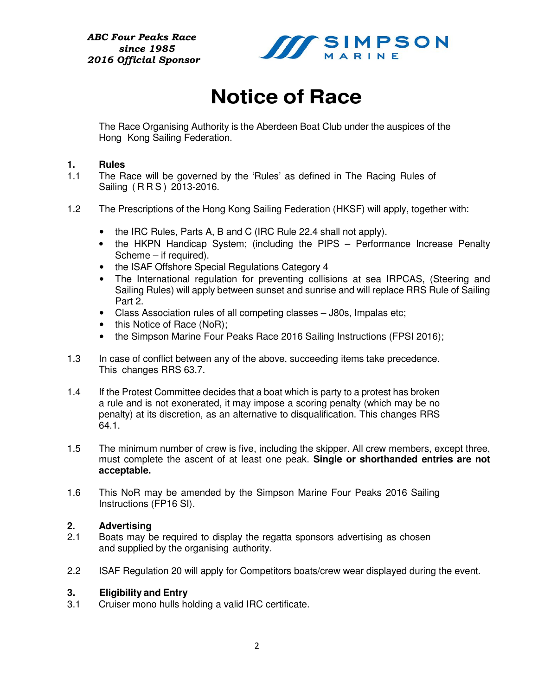

### **Notice of Race**

The Race Organising Authority is the Aberdeen Boat Club under the auspices of the Hong Kong Sailing Federation.

#### **1. Rules**

- 1.1 The Race will be governed by the 'Rules' as defined in The Racing Rules of Sailing ( R R S ) 2013-2016.
- 1.2 The Prescriptions of the Hong Kong Sailing Federation (HKSF) will apply, together with:
	- the IRC Rules, Parts A, B and C (IRC Rule 22.4 shall not apply).
	- the HKPN Handicap System; (including the PIPS Performance Increase Penalty Scheme – if required).
	- the ISAF Offshore Special Regulations Category 4
	- The International regulation for preventing collisions at sea IRPCAS, (Steering and Sailing Rules) will apply between sunset and sunrise and will replace RRS Rule of Sailing Part 2.
	- Class Association rules of all competing classes J80s, Impalas etc;
	- this Notice of Race (NoR);
	- the Simpson Marine Four Peaks Race 2016 Sailing Instructions (FPSI 2016);
- 1.3 In case of conflict between any of the above, succeeding items take precedence. This changes RRS 63.7.
- 1.4 If the Protest Committee decides that a boat which is party to a protest has broken a rule and is not exonerated, it may impose a scoring penalty (which may be no penalty) at its discretion, as an alternative to disqualification. This changes RRS 64.1.
- 1.5 The minimum number of crew is five, including the skipper. All crew members, except three, must complete the ascent of at least one peak. **Single or shorthanded entries are not acceptable.**
- 1.6 This NoR may be amended by the Simpson Marine Four Peaks 2016 Sailing Instructions (FP16 SI).

#### **2. Advertising**

- 2.1 Boats may be required to display the regatta sponsors advertising as chosen and supplied by the organising authority.
- 2.2 ISAF Regulation 20 will apply for Competitors boats/crew wear displayed during the event.

#### **3. Eligibility and Entry**

3.1 Cruiser mono hulls holding a valid IRC certificate.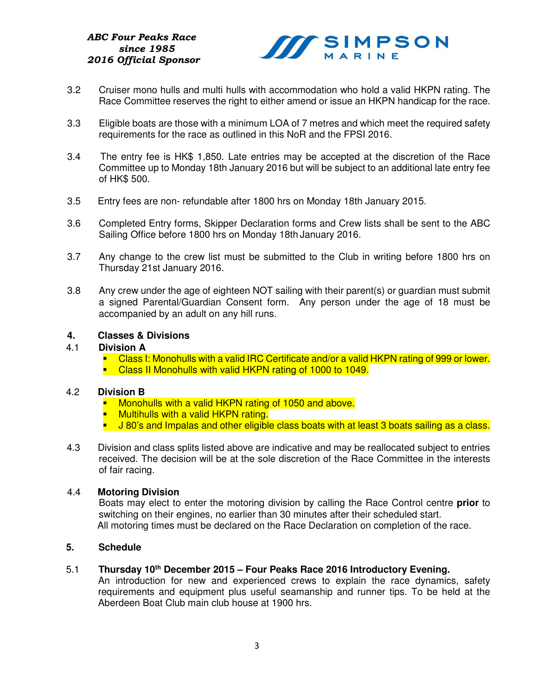

- 3.2 Cruiser mono hulls and multi hulls with accommodation who hold a valid HKPN rating. The Race Committee reserves the right to either amend or issue an HKPN handicap for the race.
- 3.3 Eligible boats are those with a minimum LOA of 7 metres and which meet the required safety requirements for the race as outlined in this NoR and the FPSI 2016.
- 3.4 The entry fee is HK\$ 1,850. Late entries may be accepted at the discretion of the Race Committee up to Monday 18th January 2016 but will be subject to an additional late entry fee of HK\$ 500.
- 3.5 Entry fees are non- refundable after 1800 hrs on Monday 18th January 2015.
- 3.6 Completed Entry forms, Skipper Declaration forms and Crew lists shall be sent to the ABC Sailing Office before 1800 hrs on Monday 18th January 2016.
- 3.7 Any change to the crew list must be submitted to the Club in writing before 1800 hrs on Thursday 21st January 2016.
- 3.8 Any crew under the age of eighteen NOT sailing with their parent(s) or guardian must submit a signed Parental/Guardian Consent form. Any person under the age of 18 must be accompanied by an adult on any hill runs.

### **4. Classes & Divisions**

#### 4.1 **Division A**

 Class I: Monohulls with a valid IRC Certificate and/or a valid HKPN rating of 999 or lower. **Class II Monohulls with valid HKPN rating of 1000 to 1049.** 

#### 4.2 **Division B**

- **Monohulls with a valid HKPN rating of 1050 and above.**
- **Multihulls with a valid HKPN rating.**
- J 80's and Impalas and other eligible class boats with at least 3 boats sailing as a class.
- 4.3 Division and class splits listed above are indicative and may be reallocated subject to entries received. The decision will be at the sole discretion of the Race Committee in the interests of fair racing.

#### 4.4 **Motoring Division**

Boats may elect to enter the motoring division by calling the Race Control centre **prior** to switching on their engines, no earlier than 30 minutes after their scheduled start. All motoring times must be declared on the Race Declaration on completion of the race.

#### **5. Schedule**

#### 5.1 **Thursday 10th December 2015 – Four Peaks Race 2016 Introductory Evening.**

An introduction for new and experienced crews to explain the race dynamics, safety requirements and equipment plus useful seamanship and runner tips. To be held at the Aberdeen Boat Club main club house at 1900 hrs.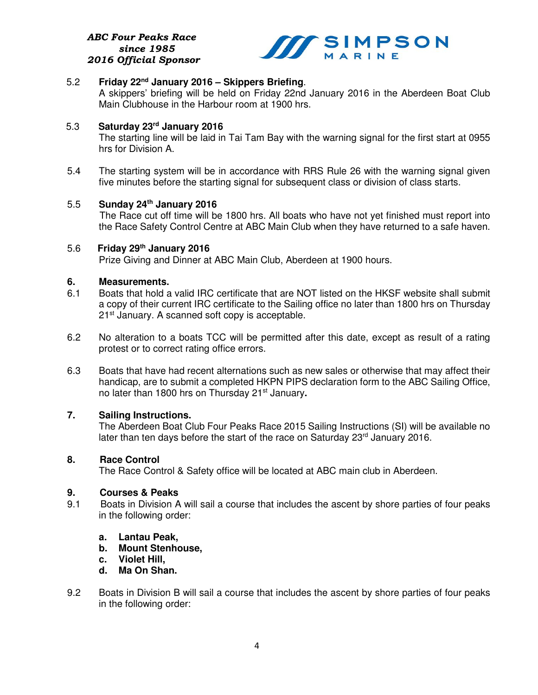

#### 5.2 **Friday 22nd January 2016 – Skippers Briefing**.

 A skippers' briefing will be held on Friday 22nd January 2016 in the Aberdeen Boat Club Main Clubhouse in the Harbour room at 1900 hrs.

#### 5.3 **Saturday 23rd January 2016**

 The starting line will be laid in Tai Tam Bay with the warning signal for the first start at 0955 hrs for Division A.

5.4 The starting system will be in accordance with RRS Rule 26 with the warning signal given five minutes before the starting signal for subsequent class or division of class starts.

#### 5.5 **Sunday 24th January 2016**

 The Race cut off time will be 1800 hrs. All boats who have not yet finished must report into the Race Safety Control Centre at ABC Main Club when they have returned to a safe haven.

#### 5.6 **Friday 29th January 2016**

Prize Giving and Dinner at ABC Main Club, Aberdeen at 1900 hours.

#### **6. Measurements.**

- 6.1 Boats that hold a valid IRC certificate that are NOT listed on the HKSF website shall submit a copy of their current IRC certificate to the Sailing office no later than 1800 hrs on Thursday 21<sup>st</sup> January. A scanned soft copy is acceptable.
- 6.2 No alteration to a boats TCC will be permitted after this date, except as result of a rating protest or to correct rating office errors.
- 6.3 Boats that have had recent alternations such as new sales or otherwise that may affect their handicap, are to submit a completed HKPN PIPS declaration form to the ABC Sailing Office, no later than 1800 hrs on Thursday 21st January**.**

#### **7. Sailing Instructions.**

 The Aberdeen Boat Club Four Peaks Race 2015 Sailing Instructions (SI) will be available no later than ten days before the start of the race on Saturday 23rd January 2016.

#### **8. Race Control**

The Race Control & Safety office will be located at ABC main club in Aberdeen.

#### **9. Courses & Peaks**

- 9.1 Boats in Division A will sail a course that includes the ascent by shore parties of four peaks in the following order:
	- **a. Lantau Peak,**
	- **b. Mount Stenhouse,**
	- **c. Violet Hill,**
	- **d. Ma On Shan.**
- 9.2 Boats in Division B will sail a course that includes the ascent by shore parties of four peaks in the following order: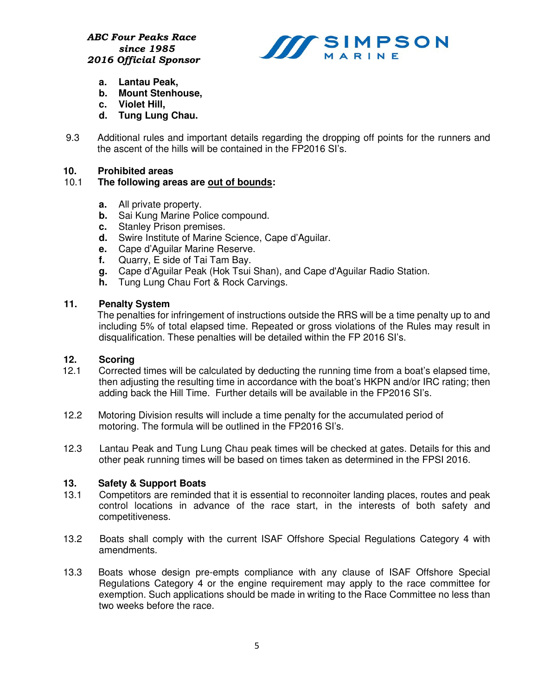

- **a. Lantau Peak,**
- **b. Mount Stenhouse,**
- **c. Violet Hill,**
- **d. Tung Lung Chau.**
- 9.3 Additional rules and important details regarding the dropping off points for the runners and the ascent of the hills will be contained in the FP2016 SI's.

#### **10. Prohibited areas**

#### 10.1 **The following areas are out of bounds:**

- **a.** All private property.
- **b.** Sai Kung Marine Police compound.
- **c.** Stanley Prison premises.
- **d.** Swire Institute of Marine Science, Cape d'Aguilar.
- **e.** Cape d'Aguilar Marine Reserve.
- **f.** Quarry, E side of Tai Tam Bay.
- **g.** Cape d'Aguilar Peak (Hok Tsui Shan), and Cape d'Aguilar Radio Station.
- **h.** Tung Lung Chau Fort & Rock Carvings.

#### **11. Penalty System**

 The penalties for infringement of instructions outside the RRS will be a time penalty up to and including 5% of total elapsed time. Repeated or gross violations of the Rules may result in disqualification. These penalties will be detailed within the FP 2016 SI's.

#### **12. Scoring**

- 12.1Corrected times will be calculated by deducting the running time from a boat's elapsed time, then adjusting the resulting time in accordance with the boat's HKPN and/or IRC rating; then adding back the Hill Time. Further details will be available in the FP2016 SI's.
- 12.2 Motoring Division results will include a time penalty for the accumulated period of motoring. The formula will be outlined in the FP2016 SI's.
- 12.3 Lantau Peak and Tung Lung Chau peak times will be checked at gates. Details for this and other peak running times will be based on times taken as determined in the FPSI 2016.

#### **13. Safety & Support Boats**

- 13.1 Competitors are reminded that it is essential to reconnoiter landing places, routes and peak control locations in advance of the race start, in the interests of both safety and competitiveness.
- 13.2 Boats shall comply with the current ISAF Offshore Special Regulations Category 4 with amendments.
- 13.3 Boats whose design pre-empts compliance with any clause of ISAF Offshore Special Regulations Category 4 or the engine requirement may apply to the race committee for exemption. Such applications should be made in writing to the Race Committee no less than two weeks before the race.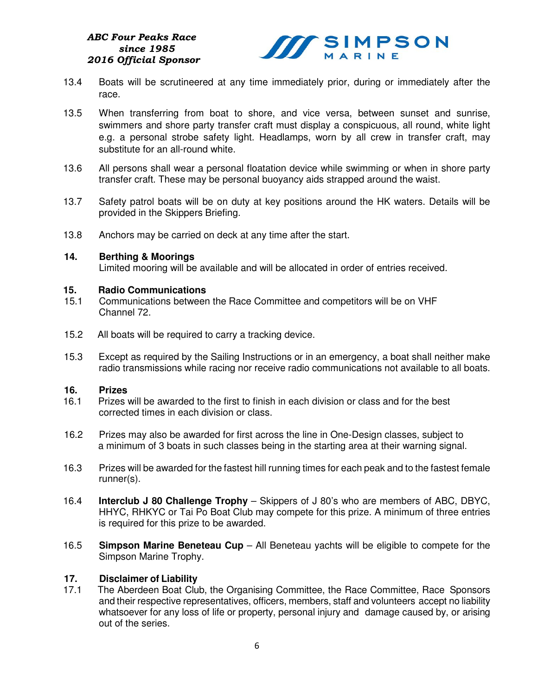#### *ABC Four Peaks Race since 1985 2016 Official Sponsor*



- 13.4 Boats will be scrutineered at any time immediately prior, during or immediately after the race.
- 13.5 When transferring from boat to shore, and vice versa, between sunset and sunrise, swimmers and shore party transfer craft must display a conspicuous, all round, white light e.g. a personal strobe safety light. Headlamps, worn by all crew in transfer craft, may substitute for an all-round white.
- 13.6 All persons shall wear a personal floatation device while swimming or when in shore party transfer craft. These may be personal buoyancy aids strapped around the waist.
- 13.7 Safety patrol boats will be on duty at key positions around the HK waters. Details will be provided in the Skippers Briefing.
- 13.8 Anchors may be carried on deck at any time after the start.

#### **14. Berthing & Moorings**

Limited mooring will be available and will be allocated in order of entries received.

#### **15. Radio Communications**

- 15.1Communications between the Race Committee and competitors will be on VHF Channel 72.
- 15.2 All boats will be required to carry a tracking device.
- 15.3 Except as required by the Sailing Instructions or in an emergency, a boat shall neither make radio transmissions while racing nor receive radio communications not available to all boats.

#### **16. Prizes**

- 16.1 Prizes will be awarded to the first to finish in each division or class and for the best corrected times in each division or class.
- 16.2 Prizes may also be awarded for first across the line in One-Design classes, subject to a minimum of 3 boats in such classes being in the starting area at their warning signal.
- 16.3 Prizes will be awarded for the fastest hill running times for each peak and to the fastest female runner(s).
- 16.4 **Interclub J 80 Challenge Trophy** Skippers of J 80's who are members of ABC, DBYC, HHYC, RHKYC or Tai Po Boat Club may compete for this prize. A minimum of three entries is required for this prize to be awarded.
- 16.5 **Simpson Marine Beneteau Cup** All Beneteau yachts will be eligible to compete for the Simpson Marine Trophy.

#### **17. Disclaimer of Liability**

17.1 The Aberdeen Boat Club, the Organising Committee, the Race Committee, Race Sponsors and their respective representatives, officers, members, staff and volunteers accept no liability whatsoever for any loss of life or property, personal injury and damage caused by, or arising out of the series.